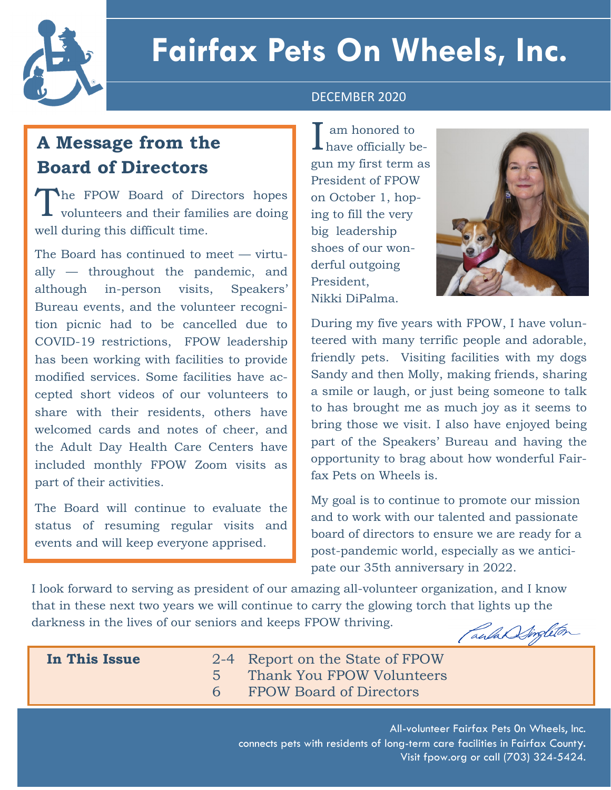

# **Fairfax Pets On Wheels, Inc.**

#### DECEMBER 2020

## **A Message from the Board of Directors**

The FPOW Board of Directors hopes<br>volunteers and their families are doing **L** volunteers and their families are doing well during this difficult time.

The Board has continued to meet — virtually — throughout the pandemic, and although in-person visits, Speakers' Bureau events, and the volunteer recognition picnic had to be cancelled due to COVID-19 restrictions, FPOW leadership has been working with facilities to provide modified services. Some facilities have accepted short videos of our volunteers to share with their residents, others have welcomed cards and notes of cheer, and the Adult Day Health Care Centers have included monthly FPOW Zoom visits as part of their activities.

The Board will continue to evaluate the status of resuming regular visits and events and will keep everyone apprised.

I have officially beam honored to gun my first term as President of FPOW on October 1, hoping to fill the very big leadership shoes of our wonderful outgoing President, Nikki DiPalma.



During my five years with FPOW, I have volunteered with many terrific people and adorable, friendly pets. Visiting facilities with my dogs Sandy and then Molly, making friends, sharing a smile or laugh, or just being someone to talk to has brought me as much joy as it seems to bring those we visit. I also have enjoyed being part of the Speakers' Bureau and having the opportunity to brag about how wonderful Fairfax Pets on Wheels is.

My goal is to continue to promote our mission and to work with our talented and passionate board of directors to ensure we are ready for a post-pandemic world, especially as we anticipate our 35th anniversary in 2022.

I look forward to serving as president of our amazing all-volunteer organization, and I know that in these next two years we will continue to carry the glowing torch that lights up the darkness in the lives of our seniors and keeps FPOW thriving.

SPRING 2021

Canla Singleton

 **In This Issue** 2-4 Report on the State of FPOW 5 Thank You FPOW Volunteers 6 FPOW Board of Directors

> All-volunteer Fairfax Pets 0n Wheels, Inc. connects pets with residents of long-term care facilities in Fairfax County. Visit fpow.org or call (703) 324-5424.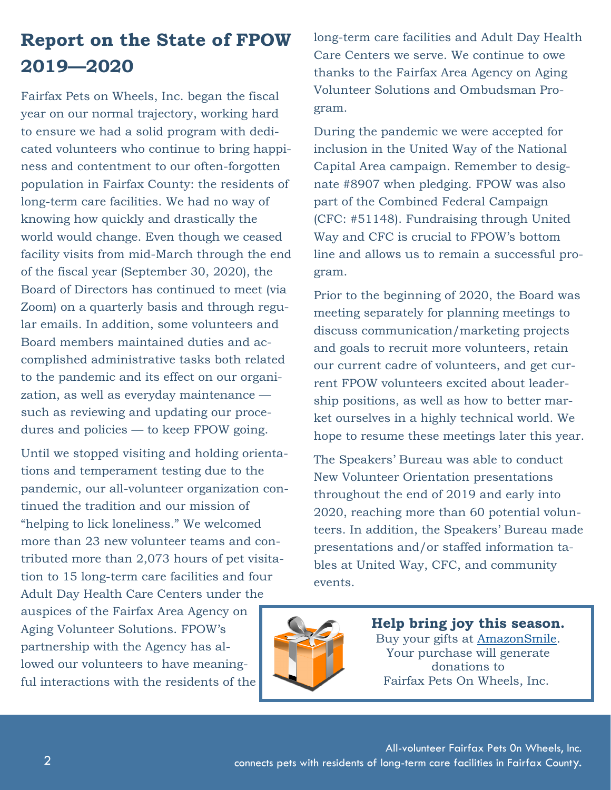## **Report on the State of FPOW 2019—2020**

Fairfax Pets on Wheels, Inc. began the fiscal year on our normal trajectory, working hard to ensure we had a solid program with dedicated volunteers who continue to bring happiness and contentment to our often-forgotten population in Fairfax County: the residents of long-term care facilities. We had no way of knowing how quickly and drastically the world would change. Even though we ceased facility visits from mid-March through the end of the fiscal year (September 30, 2020), the Board of Directors has continued to meet (via Zoom) on a quarterly basis and through regular emails. In addition, some volunteers and Board members maintained duties and accomplished administrative tasks both related to the pandemic and its effect on our organization, as well as everyday maintenance such as reviewing and updating our procedures and policies — to keep FPOW going.

Until we stopped visiting and holding orientations and temperament testing due to the pandemic, our all-volunteer organization continued the tradition and our mission of "helping to lick loneliness." We welcomed more than 23 new volunteer teams and contributed more than 2,073 hours of pet visitation to 15 long-term care facilities and four Adult Day Health Care Centers under the

auspices of the Fairfax Area Agency on Aging Volunteer Solutions. FPOW's partnership with the Agency has allowed our volunteers to have meaningful interactions with the residents of the long-term care facilities and Adult Day Health Care Centers we serve. We continue to owe thanks to the Fairfax Area Agency on Aging Volunteer Solutions and Ombudsman Program.

During the pandemic we were accepted for inclusion in the United Way of the National Capital Area campaign. Remember to designate #8907 when pledging. FPOW was also part of the Combined Federal Campaign (CFC: #51148). Fundraising through United Way and CFC is crucial to FPOW's bottom line and allows us to remain a successful program.

Prior to the beginning of 2020, the Board was meeting separately for planning meetings to discuss communication/marketing projects and goals to recruit more volunteers, retain our current cadre of volunteers, and get current FPOW volunteers excited about leadership positions, as well as how to better market ourselves in a highly technical world. We hope to resume these meetings later this year.

The Speakers' Bureau was able to conduct New Volunteer Orientation presentations throughout the end of 2019 and early into 2020, reaching more than 60 potential volunteers. In addition, the Speakers' Bureau made presentations and/or staffed information tables at United Way, CFC, and community events.



**Help bring joy this season.** Buy your gifts at [AmazonSmile.](https://smile.amazon.com/gp/chpf/homepage/ref=smi_chpf_redirect?ie=UTF8&ein=54-1819865&ref_=smi_ext_ch_54-1819865_cl)  Your purchase will generate donations to Fairfax Pets On Wheels, Inc.

All-volunteer Fairfax Pets 0n Wheels, Inc. connects pets with residents of long-term care facilities in Fairfax County.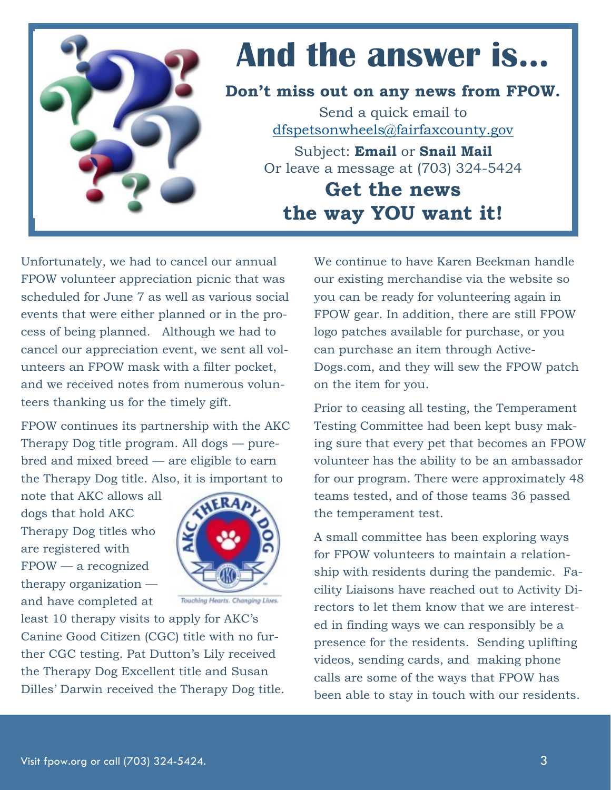

# **And the answer is…**

**Don't miss out on any news from FPOW.**

Send a quick email to [dfspetsonwheels@fairfaxcounty.gov](mailto:dfsfairfaxpetsonwhheels@fairfaxcounty.gov)

Subject: **Email** or **Snail Mail** Or leave a message at (703) 324-5424

**Get the news the way YOU want it!**

Unfortunately, we had to cancel our annual FPOW volunteer appreciation picnic that was scheduled for June 7 as well as various social events that were either planned or in the process of being planned. Although we had to cancel our appreciation event, we sent all volunteers an FPOW mask with a filter pocket, and we received notes from numerous volunteers thanking us for the timely gift.

FPOW continues its partnership with the AKC Therapy Dog title program. All dogs — purebred and mixed breed — are eligible to earn the Therapy Dog title. Also, it is important to

note that AKC allows all dogs that hold AKC Therapy Dog titles who are registered with FPOW — a recognized therapy organization and have completed at



Touching Hearts. Changing Lives.

least 10 therapy visits to apply for AKC's Canine Good Citizen (CGC) title with no further CGC testing. Pat Dutton's Lily received the Therapy Dog Excellent title and Susan Dilles' Darwin received the Therapy Dog title. We continue to have Karen Beekman handle our existing merchandise via the website so you can be ready for volunteering again in FPOW gear. In addition, there are still FPOW logo patches available for purchase, or you can purchase an item through Active-Dogs.com, and they will sew the FPOW patch on the item for you.

Prior to ceasing all testing, the Temperament Testing Committee had been kept busy making sure that every pet that becomes an FPOW volunteer has the ability to be an ambassador for our program. There were approximately 48 teams tested, and of those teams 36 passed the temperament test.

A small committee has been exploring ways for FPOW volunteers to maintain a relationship with residents during the pandemic. Facility Liaisons have reached out to Activity Directors to let them know that we are interested in finding ways we can responsibly be a presence for the residents. Sending uplifting videos, sending cards, and making phone calls are some of the ways that FPOW has been able to stay in touch with our residents.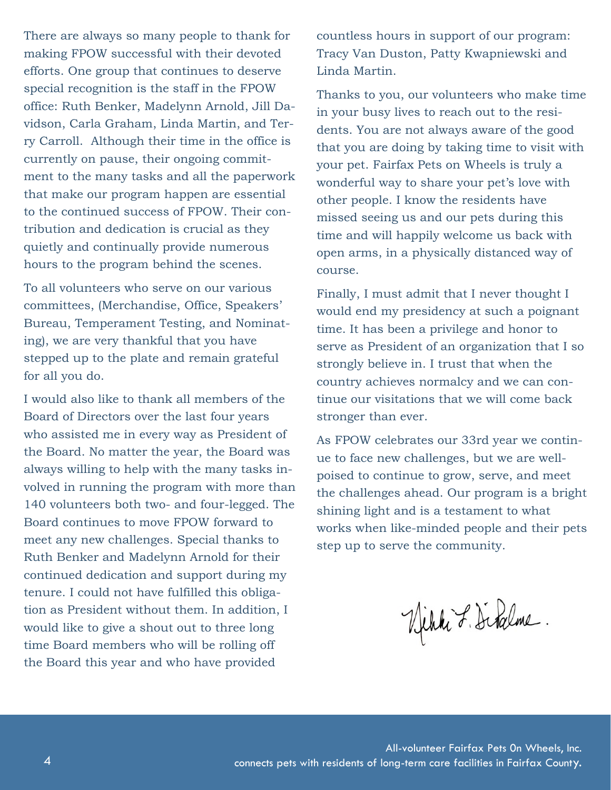There are always so many people to thank for making FPOW successful with their devoted efforts. One group that continues to deserve special recognition is the staff in the FPOW office: Ruth Benker, Madelynn Arnold, Jill Davidson, Carla Graham, Linda Martin, and Terry Carroll. Although their time in the office is currently on pause, their ongoing commitment to the many tasks and all the paperwork that make our program happen are essential to the continued success of FPOW. Their contribution and dedication is crucial as they quietly and continually provide numerous hours to the program behind the scenes.

To all volunteers who serve on our various committees, (Merchandise, Office, Speakers' Bureau, Temperament Testing, and Nominating), we are very thankful that you have stepped up to the plate and remain grateful for all you do.

I would also like to thank all members of the Board of Directors over the last four years who assisted me in every way as President of the Board. No matter the year, the Board was always willing to help with the many tasks involved in running the program with more than 140 volunteers both two- and four-legged. The Board continues to move FPOW forward to meet any new challenges. Special thanks to Ruth Benker and Madelynn Arnold for their continued dedication and support during my tenure. I could not have fulfilled this obligation as President without them. In addition, I would like to give a shout out to three long time Board members who will be rolling off the Board this year and who have provided

countless hours in support of our program: Tracy Van Duston, Patty Kwapniewski and Linda Martin.

Thanks to you, our volunteers who make time in your busy lives to reach out to the residents. You are not always aware of the good that you are doing by taking time to visit with your pet. Fairfax Pets on Wheels is truly a wonderful way to share your pet's love with other people. I know the residents have missed seeing us and our pets during this time and will happily welcome us back with open arms, in a physically distanced way of course.

Finally, I must admit that I never thought I would end my presidency at such a poignant time. It has been a privilege and honor to serve as President of an organization that I so strongly believe in. I trust that when the country achieves normalcy and we can continue our visitations that we will come back stronger than ever.

As FPOW celebrates our 33rd year we continue to face new challenges, but we are wellpoised to continue to grow, serve, and meet the challenges ahead. Our program is a bright shining light and is a testament to what works when like-minded people and their pets step up to serve the community.

Vihki F. Dibalme.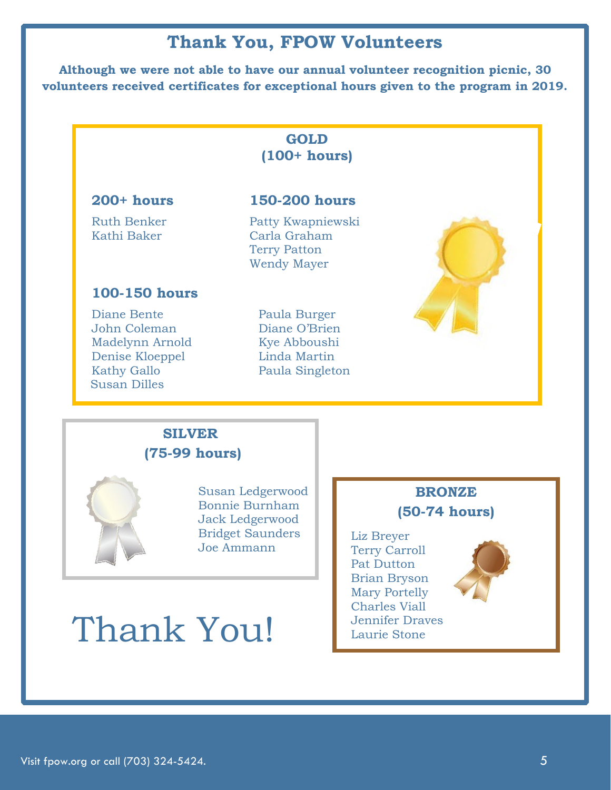### **Thank You, FPOW Volunteers**

**Although we were not able to have our annual volunteer recognition picnic, 30 volunteers received certificates for exceptional hours given to the program in 2019.**

#### **GOLD (100+ hours)**

#### **200+ hours 150-200 hours**

Ruth Benker Patty Kwapniewski Kathi Baker Carla Graham Terry Patton Wendy Mayer

#### **100-150 hours**

Diane Bente Paula Burger John Coleman Diane O'Brien Madelynn Arnold Kye Abboushi Denise Kloeppel Linda Martin Kathy Gallo Paula Singleton Susan Dilles



#### **SILVER (75-99 hours)**



Susan Ledgerwood Bonnie Burnham Jack Ledgerwood Bridget Saunders Joe Ammann

### **BRONZE (50-74 hours)**

 Liz Breyer Terry Carroll Pat Dutton Brian Bryson Mary Portelly Charles Viall Jennifer Draves Laurie Stone



# Thank You!